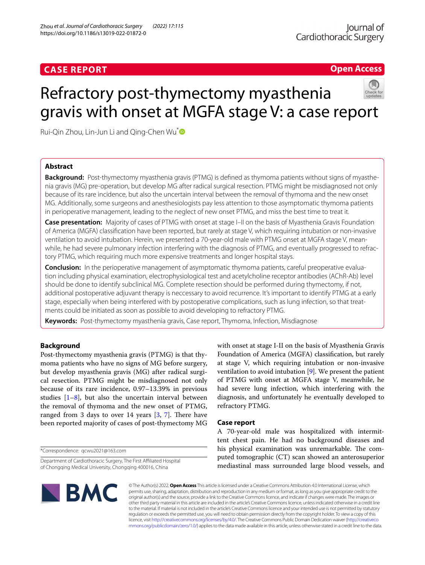# **CASE REPORT**

# **Open Access**

# Refractory post-thymectomy myasthenia gravis with onset at MGFA stage V: a case report



# **Abstract**

**Background:** Post-thymectomy myasthenia gravis (PTMG) is defined as thymoma patients without signs of myasthenia gravis (MG) pre-operation, but develop MG after radical surgical resection. PTMG might be misdiagnosed not only because of its rare incidence, but also the uncertain interval between the removal of thymoma and the new onset MG. Additionally, some surgeons and anesthesiologists pay less attention to those asymptomatic thymoma patients in perioperative management, leading to the neglect of new onset PTMG, and miss the best time to treat it.

**Case presentation:** Majority of cases of PTMG with onset at stage I–II on the basis of Myasthenia Gravis Foundation of America (MGFA) classifcation have been reported, but rarely at stage V, which requiring intubation or non-invasive ventilation to avoid intubation. Herein, we presented a 70-year-old male with PTMG onset at MGFA stage V, meanwhile, he had severe pulmonary infection interfering with the diagnosis of PTMG, and eventually progressed to refractory PTMG, which requiring much more expensive treatments and longer hospital stays.

**Conclusion:** In the perioperative management of asymptomatic thymoma patients, careful preoperative evaluation including physical examination, electrophysiological test and acetylcholine receptor antibodies (AChR-Ab) level should be done to identify subclinical MG. Complete resection should be performed during thymectomy, if not, additional postoperative adjuvant therapy is neccessary to avoid recurrence. It's important to identify PTMG at a early stage, especially when being interfered with by postoperative complications, such as lung infection, so that treatments could be initiated as soon as possible to avoid developing to refractory PTMG.

**Keywords:** Post-thymectomy myasthenia gravis, Case report, Thymoma, Infection, Misdiagnose

# **Background**

Post-thymectomy myasthenia gravis (PTMG) is that thymoma patients who have no signs of MG before surgery, but develop myasthenia gravis (MG) after radical surgical resection. PTMG might be misdiagnosed not only because of its rare incidence, 0.97–13.39% in previous studies  $[1-8]$  $[1-8]$ , but also the uncertain interval between the removal of thymoma and the new onset of PTMG, ranged from 3 days to over 14 years  $[3, 7]$  $[3, 7]$  $[3, 7]$  $[3, 7]$ . There have been reported majority of cases of post-thymectomy MG

\*Correspondence: qcwu2021@163.com

with onset at stage I-II on the basis of Myasthenia Gravis Foundation of America (MGFA) classifcation, but rarely at stage V, which requiring intubation or non-invasive ventilation to avoid intubation [\[9](#page-2-4)]. We present the patient of PTMG with onset at MGFA stage V, meanwhile, he had severe lung infection, which interfering with the diagnosis, and unfortunately he eventually developed to refractory PTMG.

## **Case report**

A 70-year-old male was hospitalized with intermittent chest pain. He had no background diseases and his physical examination was unremarkable. The computed tomographic (CT) scan showed an anterosuperior mediastinal mass surrounded large blood vessels, and



© The Author(s) 2022. **Open Access** This article is licensed under a Creative Commons Attribution 4.0 International License, which permits use, sharing, adaptation, distribution and reproduction in any medium or format, as long as you give appropriate credit to the original author(s) and the source, provide a link to the Creative Commons licence, and indicate if changes were made. The images or other third party material in this article are included in the article's Creative Commons licence, unless indicated otherwise in a credit line to the material. If material is not included in the article's Creative Commons licence and your intended use is not permitted by statutory regulation or exceeds the permitted use, you will need to obtain permission directly from the copyright holder. To view a copy of this licence, visit [http://creativecommons.org/licenses/by/4.0/.](http://creativecommons.org/licenses/by/4.0/) The Creative Commons Public Domain Dedication waiver ([http://creativeco](http://creativecommons.org/publicdomain/zero/1.0/) [mmons.org/publicdomain/zero/1.0/](http://creativecommons.org/publicdomain/zero/1.0/)) applies to the data made available in this article, unless otherwise stated in a credit line to the data.

Department of Cardiothoracic Surgery, The First Afliated Hospital of Chongqing Medical University, Chongqing 400016, China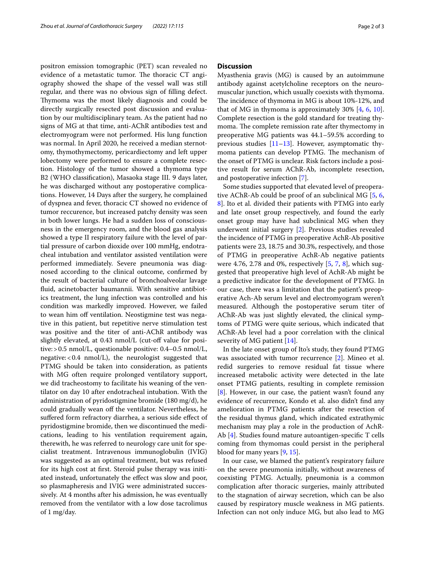positron emission tomographic (PET) scan revealed no evidence of a metastatic tumor. The thoracic CT angiography showed the shape of the vessel wall was still regular, and there was no obvious sign of flling defect. Thymoma was the most likely diagnosis and could be directly surgically resected post discussion and evaluation by our multidisciplinary team. As the patient had no signs of MG at that time, anti-AChR antibodies test and electromyogram were not performed. His lung function was normal. In April 2020, he received a median sternotomy, thymothymectomy, pericardiectomy and left upper lobectomy were performed to ensure a complete resection. Histology of the tumor showed a thymoma type B2 (WHO classifcation), Masaoka stage III. 9 days later, he was discharged without any postoperative complications. However, 14 Days after the surgery, he complained of dyspnea and fever, thoracic CT showed no evidence of tumor reccurence, but increased patchy density was seen in both lower lungs. He had a sudden loss of consciousness in the emergency room, and the blood gas analysis showed a type II respiratory failure with the level of partial pressure of carbon dioxide over 100 mmHg, endotracheal intubation and ventilator assisted ventilation were performed immediately. Severe pneumonia was diagnosed according to the clinical outcome, confrmed by the result of bacterial culture of bronchoalveolar lavage fuid, acinetobacter baumannii. With sensitive antibiotics treatment, the lung infection was controlled and his condition was markedly improved. However, we failed to wean him off ventilation. Neostigmine test was negative in this patient, but repetitive nerve stimulation test was positive and the titer of anti-AChR antibody was slightly elevated, at 0.43 nmol/L (cut-off value for positive:>0.5 nmol/L, questionable positive: 0.4–0.5 nmol/L, negative:<0.4 nmol/L), the neurologist suggested that PTMG should be taken into consideration, as patients with MG often require prolonged ventilatory support, we did tracheostomy to facilitate his weaning of the ventilator on day 10 after endotracheal intubation. With the administration of pyridostigmine bromide (180 mg/d), he could gradually wean off the ventilator. Nevertheless, he sufered form refractory diarrhea, a serious side efect of pyridostigmine bromide, then we discontinued the medications, leading to his ventilation requirement again, therewith, he was referred to neurology care unit for specialist treatment. Intravenous immunoglobulin (IVIG) was suggested as an optimal treatment, but was refused for its high cost at frst. Steroid pulse therapy was initiated instead, unfortunately the effect was slow and poor, so plasmapheresis and IVIG were administrated successively. At 4 months after his admission, he was eventually removed from the ventilator with a low dose tacrolimus of 1 mg/day.

## **Discussion**

Myasthenia gravis (MG) is caused by an autoimmune antibody against acetylcholine receptors on the neuromuscular junction, which usually coexists with thymoma. The incidence of thymoma in MG is about 10%-12%, and that of MG in thymoma is approximately 30% [[4,](#page-2-5) [6,](#page-2-6) [10](#page-2-7)]. Complete resection is the gold standard for treating thymoma. The complete remission rate after thymectomy in preoperative MG patients was 44.1–59.5% according to previous studies  $[11–13]$  $[11–13]$  $[11–13]$  $[11–13]$ . However, asymptomatic thymoma patients can develop PTMG. The mechanism of the onset of PTMG is unclear. Risk factors include a positive result for serum AChR-Ab, incomplete resection, and postoperative infection [\[7](#page-2-3)].

Some studies supported that elevated level of preoperative AChR-Ab could be proof of an subclinical MG [\[5](#page-2-10), [6](#page-2-6), [8\]](#page-2-1). Ito et al. divided their patients with PTMG into early and late onset group respectively, and found the early onset group may have had subclinical MG when they underwent initial surgery [\[2](#page-2-11)]. Previous studies revealed the incidence of PTMG in preoperative AchR-Ab positive patients were 23, 18.75 and 30.3%, respectively, and those of PTMG in preoperative AchR-Ab negative patients were 4.76, 2.78 and 0%, respectively [[5](#page-2-10), [7,](#page-2-3) [8\]](#page-2-1), which suggested that preoperative high level of AchR-Ab might be a predictive indicator for the development of PTMG. In our case, there was a limitation that the patient's preoperative Ach-Ab serum level and electromyogram weren't measured. Although the postoperative serum titer of AChR-Ab was just slightly elevated, the clinical symptoms of PTMG were quite serious, which indicated that AChR-Ab level had a poor correlation with the clinical severity of MG patient [[14\]](#page-2-12).

In the late onset group of Ito's study, they found PTMG was associated with tumor recurrence [[2\]](#page-2-11). Mineo et al. redid surgeries to remove residual fat tissue where increased metabolic activity were detected in the late onset PTMG patients, resulting in complete remission [[8\]](#page-2-1). However, in our case, the patient wasn't found any evidence of recurrence, Kondo et al. also didn't fnd any amelioration in PTMG patients after the resection of the residual thymus gland, which indicated extrathymic mechanism may play a role in the production of AchR-Ab [[4](#page-2-5)]. Studies found mature autoantigen-specifc T cells coming from thymomas could persist in the peripheral blood for many years [\[9,](#page-2-4) [15](#page-2-13)].

In our case, we blamed the patient's respiratory failure on the severe pneumonia initially, without awareness of coexisting PTMG. Actually, pneumonia is a common complication after thoracic surgeries, mainly attributed to the stagnation of airway secretion, which can be also caused by respiratory muscle weakness in MG patients. Infection can not only induce MG, but also lead to MG